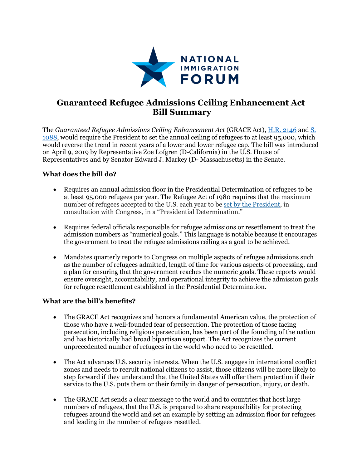

## **Guaranteed Refugee Admissions Ceiling Enhancement Act Bill Summary**

The *Guaranteed Refugee Admissions Ceiling Enhancement Act* (GRACE Act), [H.R. 2146](https://www.congress.gov/bill/116th-congress/house-bill/2146/text) and [S.](https://www.congress.gov/bill/116th-congress/senate-bill/1088/text?q=%7B%22search%22%3A%5B%22S+1088%22%5D%7D&r=1&s=1)  [1088,](https://www.congress.gov/bill/116th-congress/senate-bill/1088/text?q=%7B%22search%22%3A%5B%22S+1088%22%5D%7D&r=1&s=1) would require the President to set the annual ceiling of refugees to at least 95,000, which would reverse the trend in recent years of a lower and lower refugee cap. The bill was introduced on April 9, 2019 by Representative Zoe Lofgren (D-California) in the U.S. House of Representatives and by Senator Edward J. Markey (D- Massachusetts) in the Senate.

## **What does the bill do?**

- Requires an annual admission floor in the Presidential Determination of refugees to be at least 95,000 refugees per year. The Refugee Act of 1980 requires that the maximum number of refugees accepted to the U.S. each year to be [set by the President,](http://www.state.gov/documents/organization/232029.pdf) in consultation with Congress, in a "Presidential Determination."
- Requires federal officials responsible for refugee admissions or resettlement to treat the admission numbers as "numerical goals." This language is notable because it encourages the government to treat the refugee admissions ceiling as a goal to be achieved.
- Mandates quarterly reports to Congress on multiple aspects of refugee admissions such as the number of refugees admitted, length of time for various aspects of processing, and a plan for ensuring that the government reaches the numeric goals. These reports would ensure oversight, accountability, and operational integrity to achieve the admission goals for refugee resettlement established in the Presidential Determination.

## **What are the bill's benefits?**

- The GRACE Act recognizes and honors a fundamental American value, the protection of those who have a well-founded fear of persecution. The protection of those facing persecution, including religious persecution, has been part of the founding of the nation and has historically had broad bipartisan support. The Act recognizes the current unprecedented number of refugees in the world who need to be resettled.
- The Act advances U.S. security interests. When the U.S. engages in international conflict zones and needs to recruit national citizens to assist, those citizens will be more likely to step forward if they understand that the United States will offer them protection if their service to the U.S. puts them or their family in danger of persecution, injury, or death.
- The GRACE Act sends a clear message to the world and to countries that host large numbers of refugees, that the U.S. is prepared to share responsibility for protecting refugees around the world and set an example by setting an admission floor for refugees and leading in the number of refugees resettled.